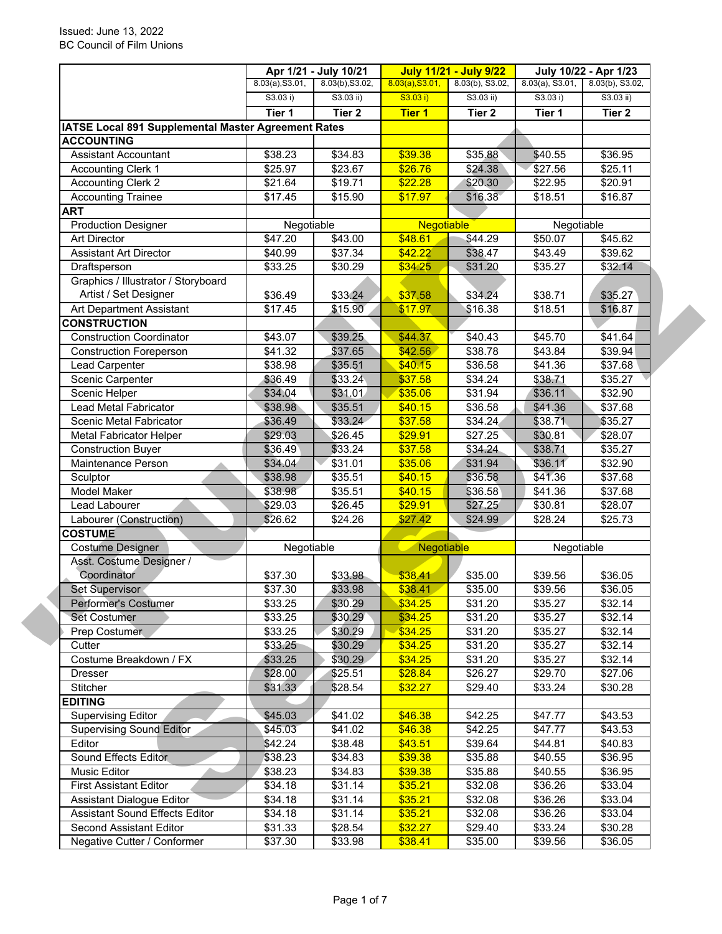|                                                              |                 | Apr 1/21 - July 10/21 |                   | <b>July 11/21 - July 9/22</b> | July 10/22 - Apr 1/23 |                     |
|--------------------------------------------------------------|-----------------|-----------------------|-------------------|-------------------------------|-----------------------|---------------------|
|                                                              | 8.03(a), S3.01, | 8.03(b), S3.02,       | 8.03(a), S3.01,   | 8.03(b), S3.02,               | 8.03(a), S3.01,       | 8.03(b), S3.02,     |
|                                                              | S3.03 i)        | S3.03 ii)             | S3.03 i)          | S3.03 ii)                     | S3.03 i)              | $S3.03$ ii)         |
|                                                              | Tier 1          | Tier <sub>2</sub>     | <b>Tier 1</b>     | Tier <sub>2</sub>             | Tier 1                | Tier 2              |
| <b>IATSE Local 891 Supplemental Master Agreement Rates</b>   |                 |                       |                   |                               |                       |                     |
| <b>ACCOUNTING</b>                                            |                 |                       |                   |                               |                       |                     |
| <b>Assistant Accountant</b>                                  | \$38.23         | \$34.83               | \$39.38           | \$35.88                       | \$40.55               | \$36.95             |
| <b>Accounting Clerk 1</b>                                    | \$25.97         | \$23.67               | \$26.76           | \$24.38                       | \$27.56               | \$25.11             |
| <b>Accounting Clerk 2</b>                                    | \$21.64         | \$19.71               | \$22.28           | \$20.30                       | \$22.95               | \$20.91             |
| <b>Accounting Trainee</b>                                    | \$17.45         | \$15.90               | \$17.97           | \$16.38                       | \$18.51               | $\overline{$}16.87$ |
| ART                                                          |                 |                       |                   |                               |                       |                     |
| <b>Production Designer</b>                                   | Negotiable      |                       | <b>Negotiable</b> |                               | Negotiable            |                     |
| <b>Art Director</b>                                          | \$47.20         | \$43.00               | \$48.61           | \$44.29                       | \$50.07               | \$45.62             |
| <b>Assistant Art Director</b>                                | \$40.99         | \$37.34               | \$42.22           | \$38.47                       | \$43.49               | $\overline{$}39.62$ |
| Draftsperson                                                 | \$33.25         | \$30.29               | \$34.25           | \$31.20                       | \$35.27               | \$32.14             |
| Graphics / Illustrator / Storyboard<br>Artist / Set Designer | \$36.49         | \$33.24               | \$37.58           | \$34.24                       | \$38.71               | \$35.27             |
| Art Department Assistant                                     | \$17.45         | \$15.90               | \$17.97           | \$16.38                       | \$18.51               | \$16.87             |
| <b>CONSTRUCTION</b>                                          |                 |                       |                   |                               |                       |                     |
| <b>Construction Coordinator</b>                              | \$43.07         | \$39.25               | \$44.37           | \$40.43                       | \$45.70               | \$41.64             |
| <b>Construction Foreperson</b>                               | \$41.32         | \$37.65               | \$42.56           | \$38.78                       | \$43.84               | \$39.94             |
| Lead Carpenter                                               | \$38.98         | \$35.51               | \$40.15           | \$36.58                       | \$41.36               | \$37.68             |
| Scenic Carpenter                                             | \$36.49         | \$33.24               | \$37.58           | \$34.24                       | \$38.71               | \$35.27             |
| Scenic Helper                                                | \$34.04         | \$31.01               | \$35.06           | \$31.94                       | \$36.11               | \$32.90             |
| <b>Lead Metal Fabricator</b>                                 | \$38.98         | \$35.51               | \$40.15           | \$36.58                       | \$41.36               | \$37.68             |
| Scenic Metal Fabricator                                      | \$36.49         | \$33.24               | \$37.58           | \$34.24                       | \$38.71               | \$35.27             |
| <b>Metal Fabricator Helper</b>                               | \$29.03         | \$26.45               | \$29.91           | \$27.25                       | \$30.81               | \$28.07             |
| <b>Construction Buyer</b>                                    | \$36.49         | \$33.24               | \$37.58           | \$34.24                       | \$38.71               | \$35.27             |
| Maintenance Person                                           | \$34.04         | \$31.01               | \$35.06           | \$31.94                       | \$36.11               | \$32.90             |
| Sculptor                                                     | \$38.98         | \$35.51               | \$40.15           | \$36.58                       | \$41.36               | \$37.68             |
| <b>Model Maker</b>                                           | \$38.98         | $\overline{$}35.51$   | \$40.15           | \$36.58                       | \$41.36               | \$37.68             |
| Lead Labourer                                                | \$29.03         | \$26.45               | \$29.91           | \$27.25                       | \$30.81               | \$28.07             |
| Labourer (Construction)                                      | \$26.62         | \$24.26               | \$27.42           | \$24.99                       | \$28.24               | \$25.73             |
| <b>COSTUME</b>                                               |                 |                       |                   |                               |                       |                     |
| <b>Costume Designer</b>                                      | Negotiable      |                       | Negotiable        |                               | Negotiable            |                     |
| Asst. Costume Designer /                                     |                 |                       |                   |                               |                       |                     |
| Coordinator                                                  | \$37.30         | \$33.98               | \$38.41           | \$35.00                       | \$39.56               | \$36.05             |
| Set Supervisor                                               | \$37.30         | \$33.98               | \$38.41           | \$35.00                       | \$39.56               | \$36.05             |
| Performer's Costumer                                         | \$33.25         | \$30.29               | \$34.25           | \$31.20                       | \$35.27               | \$32.14             |
| <b>Set Costumer</b>                                          | \$33.25         | \$30.29               | \$34.25           | \$31.20                       | \$35.27               | \$32.14             |
| Prep Costumer                                                | \$33.25         | \$30.29               | \$34.25           | \$31.20                       | \$35.27               | \$32.14             |
| Cutter                                                       | \$33.25         | \$30.29               | \$34.25           | \$31.20                       | \$35.27               | \$32.14             |
| Costume Breakdown / FX                                       | \$33.25         | \$30.29               | \$34.25           | \$31.20                       | \$35.27               | \$32.14             |
| Dresser                                                      | \$28.00         | \$25.51               | \$28.84           | \$26.27                       | \$29.70               | \$27.06             |
| Stitcher                                                     | \$31.33         | \$28.54               | \$32.27           | \$29.40                       | \$33.24               | \$30.28             |
| <b>EDITING</b>                                               |                 |                       |                   |                               |                       |                     |
| <b>Supervising Editor</b>                                    | \$45.03         | \$41.02               | \$46.38           | \$42.25                       | \$47.77               | \$43.53             |
| <b>Supervising Sound Editor</b>                              | \$45.03         | \$41.02               | \$46.38           | \$42.25                       | \$47.77               | \$43.53             |
| Editor                                                       | \$42.24         | \$38.48               | \$43.51           | \$39.64                       | \$44.81               | \$40.83             |
| Sound Effects Editor                                         | \$38.23         | \$34.83               | \$39.38           | \$35.88                       | \$40.55               | \$36.95             |
| Music Editor                                                 | \$38.23         | \$34.83               | \$39.38           | \$35.88                       | \$40.55               | \$36.95             |
| <b>First Assistant Editor</b>                                | \$34.18         | \$31.14               | \$35.21           | \$32.08                       | \$36.26               | \$33.04             |
| Assistant Dialogue Editor                                    | \$34.18         | \$31.14               | \$35.21           | \$32.08                       | \$36.26               | \$33.04             |
| Assistant Sound Effects Editor                               | \$34.18         | \$31.14               | \$35.21           | \$32.08                       | \$36.26               | \$33.04             |
| Second Assistant Editor                                      | \$31.33         | \$28.54               | \$32.27           | \$29.40                       | \$33.24               | \$30.28             |
| Negative Cutter / Conformer                                  | \$37.30         | \$33.98               | \$38.41           | \$35.00                       | \$39.56               | \$36.05             |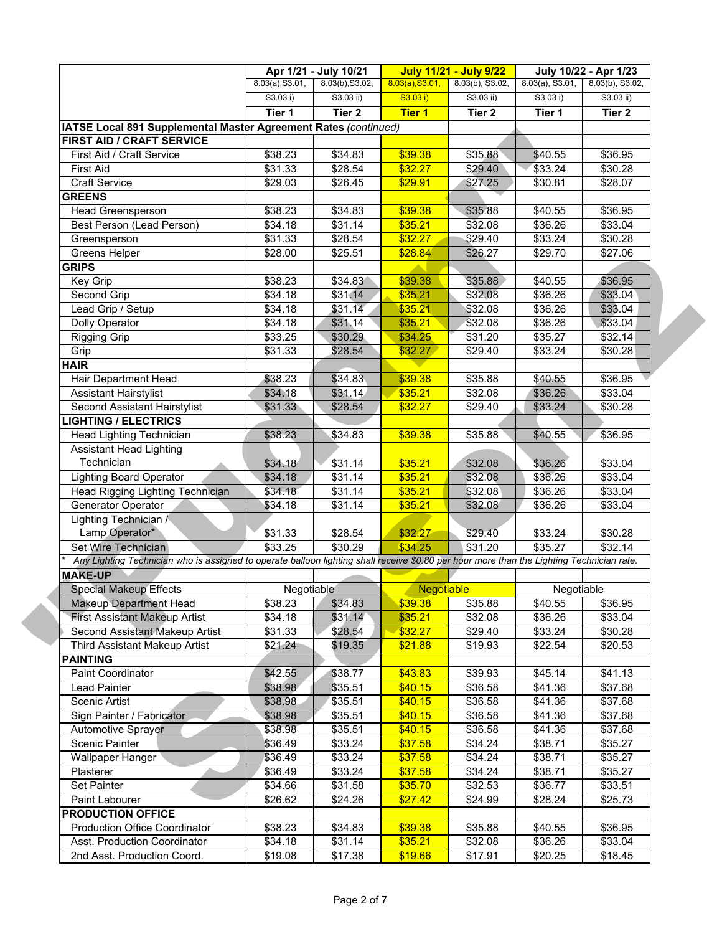|                                                                                                                                           |                     | Apr 1/21 - July 10/21 |                   | <b>July 11/21 - July 9/22</b> |                    | July 10/22 - Apr 1/23 |
|-------------------------------------------------------------------------------------------------------------------------------------------|---------------------|-----------------------|-------------------|-------------------------------|--------------------|-----------------------|
|                                                                                                                                           | 8.03(a), S3.01,     | 8.03(b), S3.02,       | 8.03(a), S3.01,   | 8.03(b), S3.02,               | $8.03(a)$ , S3.01, | $8.03(b)$ , S3.02,    |
|                                                                                                                                           | S3.03 i)            | $S3.03$ ii)           | S3.03 i)          | S3.03 ii)                     | S3.03 i)           | $S3.03$ ii)           |
|                                                                                                                                           | Tier 1              | Tier <sub>2</sub>     | <b>Tier 1</b>     | Tier 2                        | Tier 1             | Tier 2                |
| IATSE Local 891 Supplemental Master Agreement Rates (continued)                                                                           |                     |                       |                   |                               |                    |                       |
| FIRST AID / CRAFT SERVICE                                                                                                                 |                     |                       |                   |                               |                    |                       |
| First Aid / Craft Service                                                                                                                 | \$38.23             | \$34.83               | \$39.38           | \$35.88                       | \$40.55            | \$36.95               |
| <b>First Aid</b>                                                                                                                          | \$31.33             | \$28.54               | \$32.27           | \$29.40                       | \$33.24            | \$30.28               |
| <b>Craft Service</b>                                                                                                                      | \$29.03             | \$26.45               | \$29.91           | \$27.25                       | \$30.81            | \$28.07               |
| <b>GREENS</b>                                                                                                                             |                     |                       |                   |                               |                    |                       |
| Head Greensperson                                                                                                                         | \$38.23             | \$34.83               | \$39.38           | \$35.88                       | \$40.55            | \$36.95               |
| Best Person (Lead Person)                                                                                                                 | \$34.18             | \$31.14               | \$35.21           | \$32.08                       | \$36.26            | \$33.04               |
| Greensperson                                                                                                                              | \$31.33             | \$28.54               | \$32.27           | \$29.40                       | \$33.24            | \$30.28               |
| Greens Helper                                                                                                                             | \$28.00             | \$25.51               | \$28.84           | \$26.27                       | \$29.70            | \$27.06               |
| <b>GRIPS</b>                                                                                                                              |                     |                       |                   |                               |                    |                       |
| Key Grip                                                                                                                                  | \$38.23             | \$34.83               | \$39.38           | \$35.88                       | \$40.55            | \$36.95               |
| Second Grip                                                                                                                               | \$34.18             | \$31.14               | \$35.21           | \$32.08                       | \$36.26            | \$33.04               |
| Lead Grip / Setup                                                                                                                         | \$34.18             | \$31.14               | \$35.21           | \$32.08                       | \$36.26            | \$33.04               |
| <b>Dolly Operator</b>                                                                                                                     | $\overline{$}34.18$ | \$31.14               | \$35.21           | \$32.08                       | \$36.26            | \$33.04               |
| <b>Rigging Grip</b>                                                                                                                       | \$33.25             | \$30.29               | \$34.25           | \$31.20                       | \$35.27            | \$32.14               |
| Grip                                                                                                                                      | \$31.33             | \$28.54               | \$32.27           | \$29.40                       | \$33.24            | \$30.28               |
| <b>HAIR</b>                                                                                                                               |                     |                       |                   |                               |                    |                       |
| Hair Department Head                                                                                                                      | \$38.23             | \$34.83               | \$39.38           | \$35.88                       | \$40.55            | \$36.95               |
| <b>Assistant Hairstylist</b>                                                                                                              | \$34.18             | \$31.14               | \$35.21           | \$32.08                       | \$36.26            | \$33.04               |
| Second Assistant Hairstylist                                                                                                              | \$31.33             | \$28.54               | \$32.27           | \$29.40                       | \$33.24            | \$30.28               |
| <b>LIGHTING / ELECTRICS</b>                                                                                                               |                     |                       |                   |                               |                    |                       |
| Head Lighting Technician                                                                                                                  | \$38.23             | \$34.83               | \$39.38           | \$35.88                       | \$40.55            | \$36.95               |
| <b>Assistant Head Lighting</b>                                                                                                            |                     |                       |                   |                               |                    |                       |
| Technician                                                                                                                                | \$34.18             | \$31.14               | \$35.21           | \$32.08                       | \$36.26            | \$33.04               |
| Lighting Board Operator                                                                                                                   | \$34.18             | 331.14                | \$35.21           | \$32.08                       | \$36.26            | \$33.04               |
| Head Rigging Lighting Technician                                                                                                          | \$34.18             | \$31.14               | \$35.21           | \$32.08                       | \$36.26            | \$33.04               |
| Generator Operator                                                                                                                        | \$34.18             | \$31.14               | \$35.21           | \$32.08                       | \$36.26            | \$33.04               |
| Lighting Technician /                                                                                                                     |                     |                       |                   |                               |                    |                       |
| Lamp Operator*                                                                                                                            | \$31.33             | \$28.54               | \$32.27           | \$29.40                       | \$33.24            | \$30.28               |
| Set Wire Technician                                                                                                                       | \$33.25             | \$30.29               | \$34.25           | \$31.20                       | \$35.27            | \$32.14               |
| Any Lighting Technician who is assigned to operate balloon lighting shall receive \$0.80 per hour more than the Lighting Technician rate. |                     |                       |                   |                               |                    |                       |
| <b>MAKE-UP</b>                                                                                                                            |                     |                       |                   |                               |                    |                       |
| <b>Special Makeup Effects</b>                                                                                                             | Negotiable          |                       | <b>Negotiable</b> |                               | Negotiable         |                       |
| <b>Makeup Department Head</b>                                                                                                             | \$38.23             | \$34.83               | \$39.38           | \$35.88                       | \$40.55            | \$36.95               |
| <b>First Assistant Makeup Artist</b>                                                                                                      | \$34.18             | \$31.14               | \$35.21           | \$32.08                       | \$36.26            | \$33.04               |
| Second Assistant Makeup Artist                                                                                                            | \$31.33             | \$28.54               | \$32.27           | \$29.40                       | \$33.24            | \$30.28               |
| Third Assistant Makeup Artist                                                                                                             | \$21.24             | \$19.35               | \$21.88           | \$19.93                       | \$22.54            | \$20.53               |
| <b>PAINTING</b>                                                                                                                           |                     |                       |                   |                               |                    |                       |
| <b>Paint Coordinator</b>                                                                                                                  | \$42.55             | \$38.77               | \$43.83           | \$39.93                       | \$45.14            | \$41.13               |
| Lead Painter                                                                                                                              | \$38.98             | \$35.51               | \$40.15           | \$36.58                       | \$41.36            | \$37.68               |
| Scenic Artist                                                                                                                             | \$38.98             | \$35.51               | \$40.15           | \$36.58                       | \$41.36            | \$37.68               |
|                                                                                                                                           |                     |                       |                   |                               |                    |                       |
| Sign Painter / Fabricator                                                                                                                 | \$38.98             | \$35.51               | \$40.15           | \$36.58                       | \$41.36            | \$37.68               |
| Automotive Sprayer                                                                                                                        | \$38.98             | \$35.51               | \$40.15           | \$36.58                       | \$41.36            | \$37.68               |
| <b>Scenic Painter</b>                                                                                                                     | \$36.49             | \$33.24               | \$37.58           | \$34.24                       | \$38.71            | \$35.27               |
| Wallpaper Hanger                                                                                                                          | \$36.49             | \$33.24               | \$37.58           | \$34.24                       | \$38.71            | \$35.27               |
| Plasterer                                                                                                                                 | \$36.49             | \$33.24               | \$37.58           | \$34.24                       | \$38.71            | \$35.27               |
| Set Painter                                                                                                                               | \$34.66             | \$31.58               | \$35.70           | \$32.53                       | \$36.77            | \$33.51               |
| Paint Labourer                                                                                                                            | \$26.62             | \$24.26               | \$27.42           | \$24.99                       | \$28.24            | \$25.73               |
| <b>PRODUCTION OFFICE</b>                                                                                                                  |                     |                       |                   |                               |                    |                       |
| <b>Production Office Coordinator</b>                                                                                                      | \$38.23             | \$34.83               | \$39.38           | \$35.88                       | \$40.55            | \$36.95               |
| Asst. Production Coordinator                                                                                                              | \$34.18             | \$31.14               | \$35.21           | \$32.08                       | \$36.26            | \$33.04               |
| 2nd Asst. Production Coord.                                                                                                               | \$19.08             | \$17.38               | \$19.66           | \$17.91                       | \$20.25            | \$18.45               |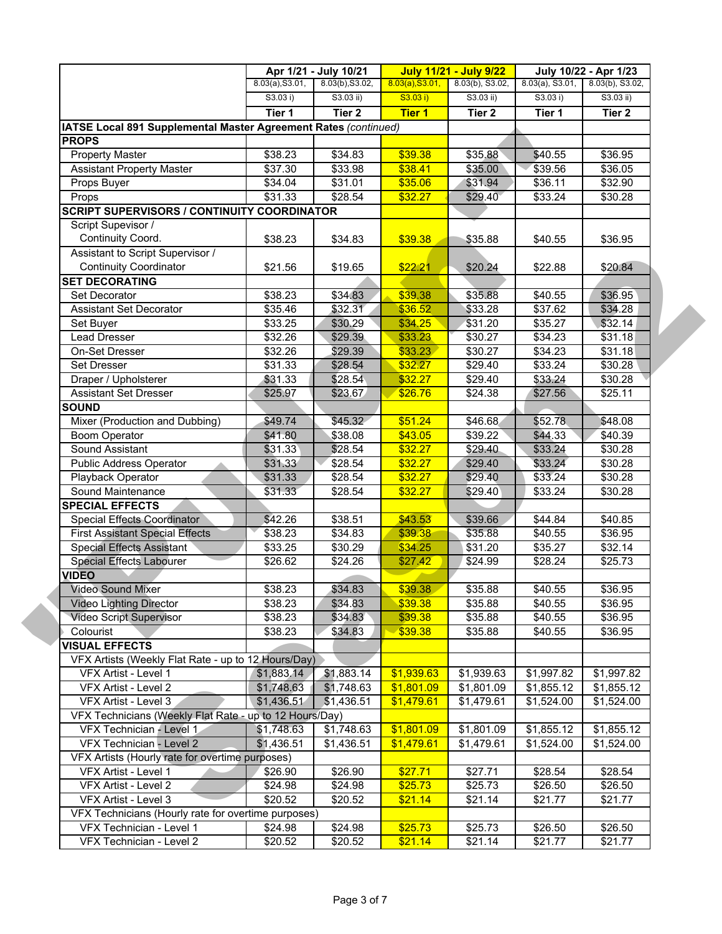|                                                                 |                 | Apr 1/21 - July 10/21 |                 | <b>July 11/21 - July 9/22</b> |                    | July 10/22 - Apr 1/23 |
|-----------------------------------------------------------------|-----------------|-----------------------|-----------------|-------------------------------|--------------------|-----------------------|
|                                                                 | 8.03(a), S3.01, | 8.03(b), S3.02,       | 8.03(a), S3.01, | 8.03(b), S3.02,               | $8.03(a)$ , S3.01, | 8.03(b), S3.02,       |
|                                                                 | S3.03 i)        | S3.03 ii)             | S3.03 i)        | S3.03 ii)                     | S3.03 i)           | $S3.03$ ii)           |
|                                                                 | Tier 1          | Tier <sub>2</sub>     | <b>Tier 1</b>   | Tier 2                        | Tier 1             | Tier 2                |
| IATSE Local 891 Supplemental Master Agreement Rates (continued) |                 |                       |                 |                               |                    |                       |
| <b>PROPS</b>                                                    |                 |                       |                 |                               |                    |                       |
| <b>Property Master</b>                                          | \$38.23         | \$34.83               | \$39.38         | \$35.88                       | \$40.55            | \$36.95               |
| <b>Assistant Property Master</b>                                | \$37.30         | \$33.98               | \$38.41         | \$35.00                       | \$39.56            | \$36.05               |
| Props Buyer                                                     | \$34.04         | \$31.01               | \$35.06         | \$31.94                       | \$36.11            | \$32.90               |
| Props                                                           | \$31.33         | \$28.54               | \$32.27         | \$29.40                       | \$33.24            | \$30.28               |
| <b>SCRIPT SUPERVISORS / CONTINUITY COORDINATOR</b>              |                 |                       |                 |                               |                    |                       |
| Script Supevisor /                                              |                 |                       |                 |                               |                    |                       |
| Continuity Coord.                                               | \$38.23         | \$34.83               | \$39.38         | \$35.88                       | \$40.55            | \$36.95               |
| Assistant to Script Supervisor /                                |                 |                       |                 |                               |                    |                       |
| <b>Continuity Coordinator</b>                                   | \$21.56         | \$19.65               | \$22.21         | \$20.24                       | \$22.88            | \$20.84               |
| <b>SET DECORATING</b>                                           |                 |                       |                 |                               |                    |                       |
| Set Decorator                                                   | \$38.23         | \$34.83               | \$39.38         | \$35.88                       | \$40.55            | \$36.95               |
| <b>Assistant Set Decorator</b>                                  | \$35.46         | \$32.31               | \$36.52         | \$33.28                       | \$37.62            | \$34.28               |
| Set Buyer                                                       | \$33.25         | \$30.29               | \$34.25         | \$31.20                       | \$35.27            | \$32.14               |
| <b>Lead Dresser</b>                                             | \$32.26         | \$29.39               | \$33.23         | \$30.27                       | \$34.23            | \$31.18               |
| On-Set Dresser                                                  | \$32.26         | \$29.39               | \$33.23         | \$30.27                       | \$34.23            | $\overline{$}31.18$   |
| Set Dresser                                                     | \$31.33         | \$28.54               | \$32.27         | \$29.40                       | \$33.24            | \$30.28               |
| Draper / Upholsterer                                            | \$31.33         | \$28.54               | \$32.27         | \$29.40                       | \$33.24            | \$30.28               |
| <b>Assistant Set Dresser</b>                                    | \$25.97         | \$23.67               | \$26.76         | \$24.38                       | \$27.56            | \$25.11               |
| <b>SOUND</b>                                                    |                 |                       |                 |                               |                    |                       |
| Mixer (Production and Dubbing)                                  | \$49.74         | \$45.32               | \$51.24         | \$46.68                       | \$52.78            | \$48.08               |
| <b>Boom Operator</b>                                            | \$41.80         | \$38.08               | \$43.05         | \$39.22                       | \$44.33            | \$40.39               |
| Sound Assistant                                                 | \$31.33         | \$28.54               | \$32.27         | \$29.40                       | \$33.24            | \$30.28               |
| Public Address Operator                                         | \$31.33         | \$28.54               | \$32.27         | \$29.40                       | \$33.24            | \$30.28               |
| Playback Operator                                               | \$31.33         | \$28.54               | \$32.27         | \$29.40                       | \$33.24            | \$30.28               |
| Sound Maintenance                                               | \$31.33         | \$28.54               | \$32.27         | \$29.40                       | \$33.24            | \$30.28               |
| <b>SPECIAL EFFECTS</b>                                          |                 |                       |                 |                               |                    |                       |
| Special Effects Coordinator                                     | \$42.26         | \$38.51               | \$43.53         | \$39.66                       | \$44.84            | \$40.85               |
| <b>First Assistant Special Effects</b>                          | \$38.23         | \$34.83               | \$39.38         | \$35.88                       | \$40.55            | \$36.95               |
| Special Effects Assistant                                       | \$33.25         | \$30.29               | \$34.25         | \$31.20                       | \$35.27            | \$32.14               |
| <b>Special Effects Labourer</b>                                 | \$26.62         | \$24.26               | \$27.42         | \$24.99                       | \$28.24            | \$25.73               |
| <b>VIDEO</b>                                                    |                 |                       |                 |                               |                    |                       |
| <b>Video Sound Mixer</b>                                        | \$38.23         | \$34.83               | \$39.38         | \$35.88                       | \$40.55            | \$36.95               |
| <b>Video Lighting Director</b>                                  | \$38.23         | \$34.83               | \$39.38         | \$35.88                       | \$40.55            | \$36.95               |
| Video Script Supervisor                                         | \$38.23         | \$34.83               | \$39.38         | \$35.88                       | \$40.55            | \$36.95               |
| Colourist                                                       | \$38.23         | \$34.83               | \$39.38         | \$35.88                       | \$40.55            | \$36.95               |
| <b>VISUAL EFFECTS</b>                                           |                 |                       |                 |                               |                    |                       |
| VFX Artists (Weekly Flat Rate - up to 12 Hours/Day)             |                 |                       |                 |                               |                    |                       |
| VFX Artist - Level 1                                            | \$1,883.14      | \$1,883.14            | \$1,939.63      | \$1,939.63                    | \$1,997.82         | \$1,997.82            |
| VFX Artist - Level 2                                            | \$1,748.63      | \$1,748.63            | \$1,801.09      | \$1,801.09                    | \$1,855.12         | \$1,855.12            |
| VFX Artist - Level 3                                            | \$1,436.51      | \$1,436.51            | \$1,479.61      | \$1,479.61                    | \$1,524.00         | \$1,524.00            |
| VFX Technicians (Weekly Flat Rate - up to 12 Hours/Day)         |                 |                       |                 |                               |                    |                       |
| VFX Technician - Level 1                                        | \$1,748.63      | \$1,748.63            | \$1,801.09      | \$1,801.09                    | \$1,855.12         | \$1,855.12            |
| VFX Technician - Level 2                                        | \$1,436.51      | \$1,436.51            | \$1,479.61      | \$1,479.61                    | \$1,524.00         | \$1,524.00            |
| VFX Artists (Hourly rate for overtime purposes)                 |                 |                       |                 |                               |                    |                       |
| VFX Artist - Level 1                                            | \$26.90         | \$26.90               | \$27.71         | \$27.71                       | \$28.54            | $\overline{$28.54}$   |
| VFX Artist - Level 2                                            | \$24.98         | \$24.98               | \$25.73         | \$25.73                       | \$26.50            | \$26.50               |
| VFX Artist - Level 3                                            | \$20.52         | \$20.52               | \$21.14         | \$21.14                       | \$21.77            | \$21.77               |
| VFX Technicians (Hourly rate for overtime purposes)             |                 |                       |                 |                               |                    |                       |
|                                                                 |                 |                       |                 |                               |                    |                       |
| VFX Technician - Level 1                                        | \$24.98         | \$24.98               | \$25.73         | \$25.73                       | \$26.50            | \$26.50               |
| VFX Technician - Level 2                                        | \$20.52         | \$20.52               | \$21.14         | \$21.14                       | \$21.77            | \$21.77               |